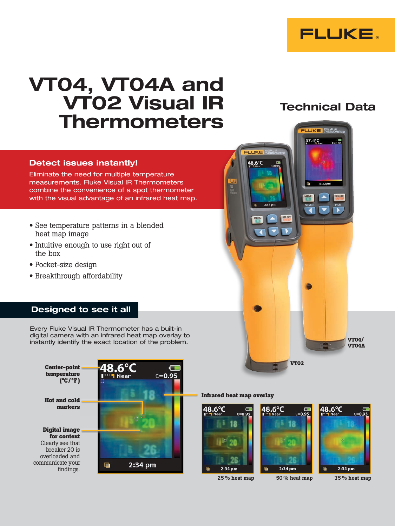

# VT04, VT04A and VT02 Visual IR Thermometers

### Detect issues instantly!

Eliminate the need for multiple temperature measurements. Fluke Visual IR Thermometers combine the convenience of a spot thermometer with the visual advantage of an infrared heat map.

- See temperature patterns in a blended heat map image
- Intuitive enough to use right out of the box
- Pocket-size design
- Breakthrough affordability

## Designed to see it all

Every Fluke Visual IR Thermometer has a built-in digital camera with an infrared heat map overlay to instantly identify the exact location of the problem.



#### **Infrared heat map overlay**





**VT02**



48.6°C





**VT04A**

 $\sim$ 

## Technical Data

LIKE 37.4°C

LUKE 48.6°C

 $2-2A$  nm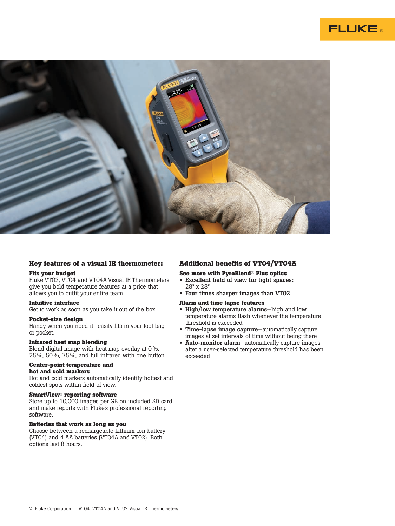



#### **Key features of a visual IR thermometer:**

#### **Fits your budget**

Fluke VT02, VT04 and VT04A Visual IR Thermometers give you bold temperature features at a price that allows you to outfit your entire team.

#### **Intuitive interface**

Get to work as soon as you take it out of the box.

#### **Pocket-size design**

Handy when you need it—easily fits in your tool bag or pocket.

#### **Infrared heat map blending**

Blend digital image with heat map overlay at 0 %, 25 %, 50 %, 75 %, and full infrared with one button.

#### **Center-point temperature and hot and cold markers**

Hot and cold markers automatically identify hottest and coldest spots within field of view.

#### **SmartView**® **reporting software**

Store up to 10,000 images per GB on included SD card and make reports with Fluke's professional reporting software.

#### **Batteries that work as long as you**

Choose between a rechargeable Lithium-ion battery (VT04) and 4 AA batteries (VT04A and VT02). Both options last 8 hours.

#### **Additional benefits of VT04/VT04A**

#### **See more with PyroBlend**® **Plus optics**

- Excellent field of view for tight spaces: 28° x 28°
- Four times sharper images than VT02

#### **Alarm and time lapse features**

- High/low temperature alarms—high and low temperature alarms flash whenever the temperature threshold is exceeded
- Time-lapse image capture—automatically capture images at set intervals of time without being there
- Auto-monitor alarm—automatically capture images after a user-selected temperature threshold has been exceeded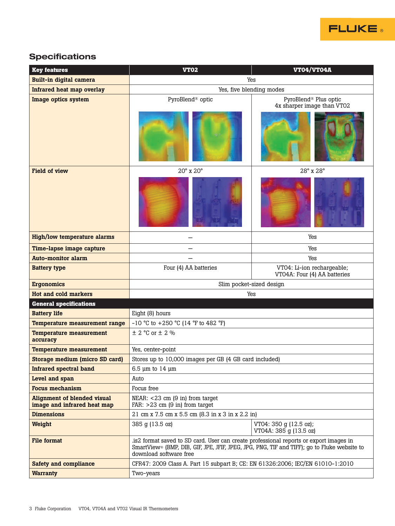

## **Specifications**

| <b>Key features</b>                                               | <b>VT02</b>                                                                                                                                                                                                                 | <b>VT04/VT04A</b>                                               |
|-------------------------------------------------------------------|-----------------------------------------------------------------------------------------------------------------------------------------------------------------------------------------------------------------------------|-----------------------------------------------------------------|
| <b>Built-in digital camera</b>                                    | Yes                                                                                                                                                                                                                         |                                                                 |
| Infrared heat map overlay                                         | Yes, five blending modes                                                                                                                                                                                                    |                                                                 |
| Image optics system                                               | PyroBlend <sup>®</sup> optic                                                                                                                                                                                                | PyroBlend <sup>®</sup> Plus optic<br>4x sharper image than VT02 |
| <b>Field of view</b>                                              | 20° x 20°                                                                                                                                                                                                                   | 28° x 28°                                                       |
|                                                                   |                                                                                                                                                                                                                             |                                                                 |
| <b>High/low temperature alarms</b>                                |                                                                                                                                                                                                                             | Yes                                                             |
| Time-lapse image capture                                          |                                                                                                                                                                                                                             | Yes                                                             |
| <b>Auto-monitor alarm</b>                                         |                                                                                                                                                                                                                             | Yes                                                             |
| <b>Battery type</b>                                               | Four (4) AA batteries                                                                                                                                                                                                       | VT04: Li-ion rechargeable;<br>VTO4A: Four (4) AA batteries      |
| <b>Ergonomics</b>                                                 | Slim pocket-sized design                                                                                                                                                                                                    |                                                                 |
| Hot and cold markers                                              | Yes                                                                                                                                                                                                                         |                                                                 |
| <b>General specifications</b>                                     |                                                                                                                                                                                                                             |                                                                 |
| <b>Battery life</b>                                               | Eight (8) hours                                                                                                                                                                                                             |                                                                 |
| <b>Temperature measurement range</b>                              | -10 °C to +250 °C (14 °F to 482 °F)                                                                                                                                                                                         |                                                                 |
| <b>Temperature measurement</b><br>accuracy                        | $\pm$ 2 °C or $\pm$ 2 %                                                                                                                                                                                                     |                                                                 |
| <b>Temperature measurement</b>                                    | Yes, center-point                                                                                                                                                                                                           |                                                                 |
| Storage medium (micro SD card)                                    | Stores up to 10,000 images per GB (4 GB card included)                                                                                                                                                                      |                                                                 |
| <b>Infrared spectral band</b>                                     | 6.5 $\mu$ m to 14 $\mu$ m                                                                                                                                                                                                   |                                                                 |
| Level and span                                                    | Auto                                                                                                                                                                                                                        |                                                                 |
| <b>Focus mechanism</b>                                            | Focus free                                                                                                                                                                                                                  |                                                                 |
| <b>Alignment of blended visual</b><br>image and infrared heat map | $NEAR: < 23$ cm $(9 \text{ in})$ from target<br>FAR: $>23$ cm (9 in) from target                                                                                                                                            |                                                                 |
| <b>Dimensions</b>                                                 | 21 cm x 7.5 cm x 5.5 cm (8.3 in x 3 in x 2.2 in)                                                                                                                                                                            |                                                                 |
| Weight                                                            | 385 g (13.5 oz)                                                                                                                                                                                                             | VT04: 350 g (12.5 oz);<br>VT04A: 385 g (13.5 oz)                |
| <b>File format</b>                                                | is 2 format saved to SD card. User can create professional reports or export images in<br>SmartView <sup>®</sup> (BMP, DIB, GIF, JPE, JFIF, JPEG, JPG, PNG, TIF and TIFF); go to Fluke website to<br>download software free |                                                                 |
| <b>Safety and compliance</b>                                      | CFR47: 2009 Class A. Part 15 subpart B; CE: EN 61326:2006; IEC/EN 61010-1:2010                                                                                                                                              |                                                                 |
| <b>Warranty</b>                                                   | Two-years                                                                                                                                                                                                                   |                                                                 |